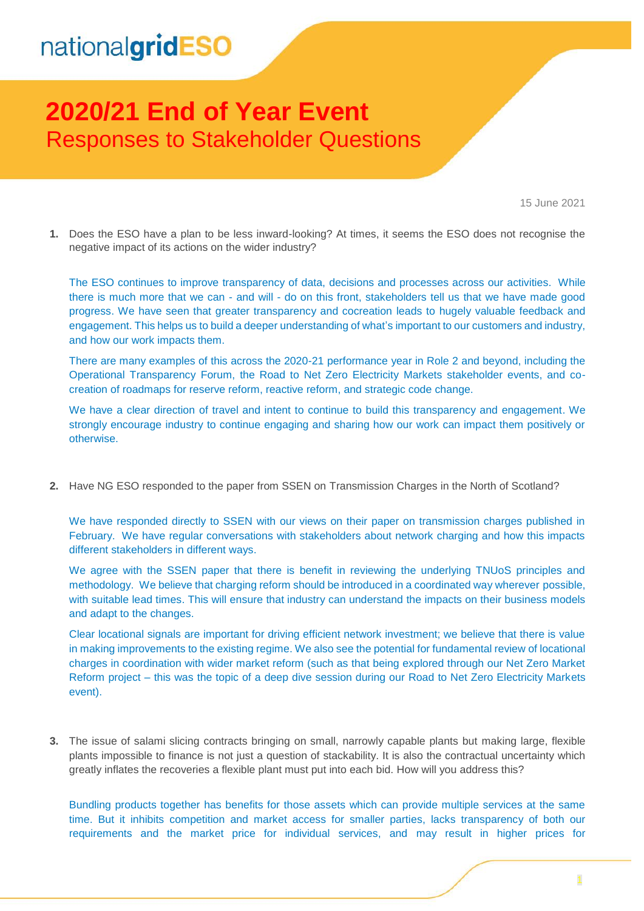## **2020/21 End of Year Event** Responses to Stakeholder Questions

15 June 2021

**1.** Does the ESO have a plan to be less inward-looking? At times, it seems the ESO does not recognise the negative impact of its actions on the wider industry?

The ESO continues to improve transparency of data, decisions and processes across our activities. While there is much more that we can - and will - do on this front, stakeholders tell us that we have made good progress. We have seen that greater transparency and cocreation leads to hugely valuable feedback and engagement. This helps us to build a deeper understanding of what's important to our customers and industry, and how our work impacts them.

There are many examples of this across the 2020-21 performance year in Role 2 and beyond, including the Operational Transparency Forum, the Road to Net Zero Electricity Markets stakeholder events, and cocreation of roadmaps for reserve reform, reactive reform, and strategic code change.

We have a clear direction of travel and intent to continue to build this transparency and engagement. We strongly encourage industry to continue engaging and sharing how our work can impact them positively or otherwise.

**2.** Have NG ESO responded to the paper from SSEN on Transmission Charges in the North of Scotland?

We have responded directly to SSEN with our views on their paper on transmission charges published in February. We have regular conversations with stakeholders about network charging and how this impacts different stakeholders in different ways.

We agree with the SSEN paper that there is benefit in reviewing the underlying TNUoS principles and methodology. We believe that charging reform should be introduced in a coordinated way wherever possible, with suitable lead times. This will ensure that industry can understand the impacts on their business models and adapt to the changes.

Clear locational signals are important for driving efficient network investment; we believe that there is value in making improvements to the existing regime. We also see the potential for fundamental review of locational charges in coordination with wider market reform (such as that being explored through our Net Zero Market Reform project – this was the topic of a deep dive session during our Road to Net Zero Electricity Markets event).

**3.** The issue of salami slicing contracts bringing on small, narrowly capable plants but making large, flexible plants impossible to finance is not just a question of stackability. It is also the contractual uncertainty which greatly inflates the recoveries a flexible plant must put into each bid. How will you address this?

Bundling products together has benefits for those assets which can provide multiple services at the same time. But it inhibits competition and market access for smaller parties, lacks transparency of both our requirements and the market price for individual services, and may result in higher prices for